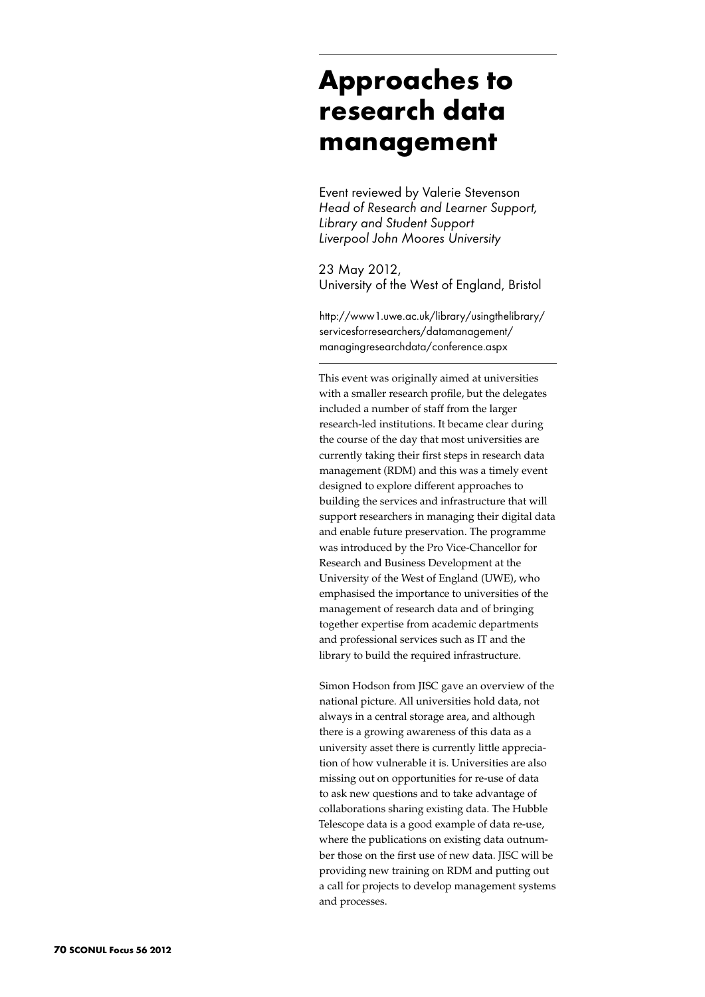## **Approaches to research data management**

Event reviewed by Valerie Stevenson *Head of Research and Learner Support, Library and Student Support Liverpool John Moores University*

23 May 2012, University of the West of England, Bristol

http://www1.uwe.ac.uk/library/usingthelibrary/ servicesforresearchers/datamanagement/ managingresearchdata/conference.aspx

This event was originally aimed at universities with a smaller research profile, but the delegates included a number of staff from the larger research-led institutions. It became clear during the course of the day that most universities are currently taking their first steps in research data management (RDM) and this was a timely event designed to explore different approaches to building the services and infrastructure that will support researchers in managing their digital data and enable future preservation. The programme was introduced by the Pro Vice-Chancellor for Research and Business Development at the University of the West of England (UWE), who emphasised the importance to universities of the management of research data and of bringing together expertise from academic departments and professional services such as IT and the library to build the required infrastructure.

Simon Hodson from JISC gave an overview of the national picture. All universities hold data, not always in a central storage area, and although there is a growing awareness of this data as a university asset there is currently little appreciation of how vulnerable it is. Universities are also missing out on opportunities for re-use of data to ask new questions and to take advantage of collaborations sharing existing data. The Hubble Telescope data is a good example of data re-use, where the publications on existing data outnumber those on the first use of new data. JISC will be providing new training on RDM and putting out a call for projects to develop management systems and processes.